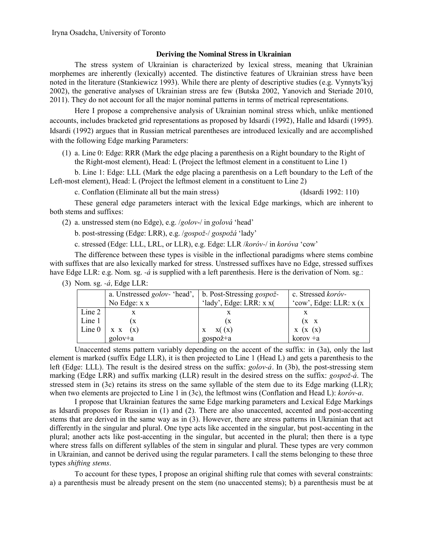## **Deriving the Nominal Stress in Ukrainian**

The stress system of Ukrainian is characterized by lexical stress, meaning that Ukrainian morphemes are inherently (lexically) accented. The distinctive features of Ukrainian stress have been noted in the literature (Stankiewicz 1993). While there are plenty of descriptive studies (e.g. Vynnyts'kyj 2002), the generative analyses of Ukrainian stress are few (Butska 2002, Yanovich and Steriade 2010, 2011). They do not account for all the major nominal patterns in terms of metrical representations.

Here I propose a comprehensive analysis of Ukrainian nominal stress which, unlike mentioned accounts, includes bracketed grid representations as proposed by Idsardi (1992), Halle and Idsardi (1995). Idsardi (1992) argues that in Russian metrical parentheses are introduced lexically and are accomplished with the following Edge marking Parameters:

(1) a. Line 0: Edge: RRR (Mark the edge placing a parenthesis on a Right boundary to the Right of the Right-most element), Head: L (Project the leftmost element in a constituent to Line 1)

b. Line 1: Edge: LLL (Mark the edge placing a parenthesis on a Left boundary to the Left of the Left-most element), Head: L (Project the leftmost element in a constituent to Line 2)

c. Conflation (Eliminate all but the main stress) (Idsardi 1992: 110)

These general edge parameters interact with the lexical Edge markings, which are inherent to both stems and suffixes:

(2) a. unstressed stem (no Edge), e.g. /*golov*-/ in *golova* 'head'

b. post-stressing (Edge: LRR), e.g. /*gospož-*/ *gospoža* 'lady'

c. stressed (Edge: LLL, LRL, or LLR), e.g. Edge: LLR /*korov-*/ in *korova* 'cow'

The difference between these types is visible in the inflectional paradigms where stems combine with suffixes that are also lexically marked for stress. Unstressed suffixes have no Edge, stressed suffixes have Edge LLR: e.g. Nom. sg. *-<i>a* is supplied with a left parenthesis. Here is the derivation of Nom. sg.:

|           | a. Unstressed <i>golov</i> - 'head',   b. Post-Stressing <i>gospož</i> - |                            | c. Stressed koróv-       |
|-----------|--------------------------------------------------------------------------|----------------------------|--------------------------|
|           | No Edge: $x x$                                                           | 'lady', Edge: LRR: $x x$ ( | 'cow', Edge: LLR: $x(x)$ |
| Line 2    |                                                                          |                            |                          |
| Line 1    |                                                                          |                            | $(X \ X)$                |
| Line $01$ | $X \times (X)$                                                           | X(x)                       | X(x(x))                  |
|           | golov+a                                                                  | gospož+a                   | $korov + a$              |

(3) Nom. sg. *-a,* Edge LLR:

Unaccented stems pattern variably depending on the accent of the suffix: in (3a), only the last element is marked (suffix Edge LLR), it is then projected to Line 1 (Head L) and gets a parenthesis to the left (Edge: LLL). The result is the desired stress on the suffix: *golov-a.* In (3b), the post-stressing stem marking (Edge LRR) and suffix marking (LLR) result in the desired stress on the suffix: *gospož-a*. The stressed stem in (3c) retains its stress on the same syllable of the stem due to its Edge marking (LLR); when two elements are projected to Line 1 in (3c), the leftmost wins (Conflation and Head L): *korov-a*.

I propose that Ukrainian features the same Edge marking parameters and Lexical Edge Markings as Idsardi proposes for Russian in (1) and (2). There are also unaccented, accented and post-accenting stems that are derived in the same way as in (3). However, there are stress patterns in Ukrainian that act differently in the singular and plural. One type acts like accented in the singular, but post-accenting in the plural; another acts like post-accenting in the singular, but accented in the plural; then there is a type where stress falls on different syllables of the stem in singular and plural. These types are very common in Ukrainian, and cannot be derived using the regular parameters. I call the stems belonging to these three types *shifting stems*.

To account for these types, I propose an original shifting rule that comes with several constraints: a) a parenthesis must be already present on the stem (no unaccented stems); b) a parenthesis must be at